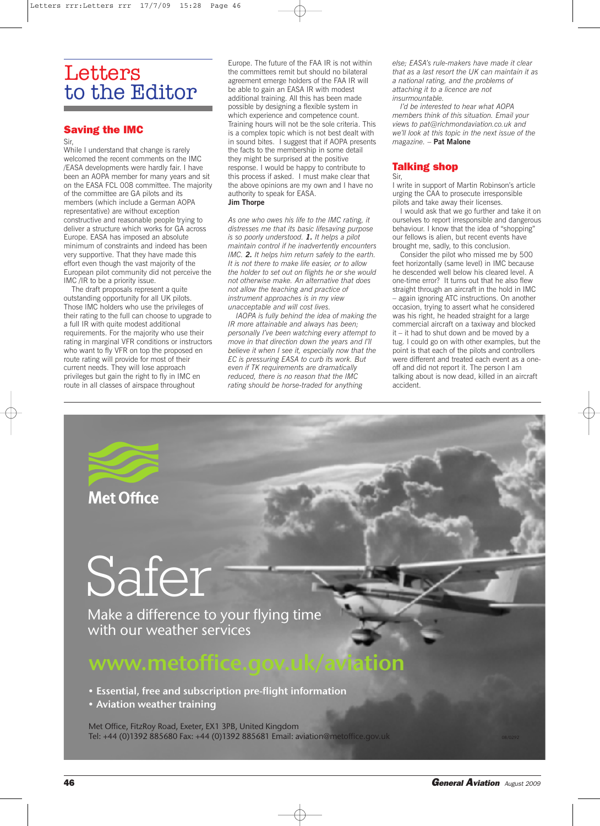## **Letters** to the Editor

### **Saving the IMC**

#### Sir,

While I understand that change is rarely welcomed the recent comments on the IMC /EASA developments were hardly fair. I have been an AOPA member for many years and sit on the EASA FCL 008 committee. The majority of the committee are GA pilots and its members (which include a German AOPA representative) are without exception constructive and reasonable people trying to deliver a structure which works for GA across Europe. EASA has imposed an absolute minimum of constraints and indeed has been very supportive. That they have made this effort even though the vast majority of the European pilot community did not perceive the IMC /IR to be a priority issue.

The draft proposals represent a quite outstanding opportunity for all UK pilots. Those IMC holders who use the privileges of their rating to the full can choose to upgrade to a full IR with quite modest additional requirements. For the majority who use their rating in marginal VFR conditions or instructors who want to fly VFR on top the proposed en route rating will provide for most of their current needs. They will lose approach privileges but gain the right to fly in IMC en route in all classes of airspace throughout

Europe. The future of the FAA IR is not within the committees remit but should no bilateral agreement emerge holders of the FAA IR will be able to gain an EASA IR with modest additional training. All this has been made possible by designing a flexible system in which experience and competence count. Training hours will not be the sole criteria. This is a complex topic which is not best dealt with in sound bites. I suggest that if AOPA presents the facts to the membership in some detail they might be surprised at the positive response. I would be happy to contribute to this process if asked. I must make clear that the above opinions are my own and I have no authority to speak for EASA. **Jim Thorpe**

*As one who owes his life to the IMC rating, it distresses me that its basic lifesaving purpose is so poorly understood. 1. It helps a pilot maintain control if he inadvertently encounters IMC. 2. It helps him return safely to the earth. It is not there to make life easier, or to allow the holder to set out on flights he or she would not otherwise make. An alternative that does not allow the teaching and practice of instrument approaches is in my view unacceptable and will cost lives.*

*IAOPA is fully behind the idea of making the IR more attainable and always has been; personally I've been watching every attempt to move in that direction down the years and I'll believe it when I see it, especially now that the EC is pressuring EASA to curb its work. But even if TK requirements are dramatically reduced, there is no reason that the IMC rating should be horse-traded for anything*

*else; EASA's rule-makers have made it clear that as a last resort the UK can maintain it as a national rating, and the problems of attaching it to a licence are not insurmountable.*

*I'd be interested to hear what AOPA members think of this situation. Email your views to pat@richmondaviation.co.uk and we'll look at this topic in the next issue of the magazine.* – **Pat Malone**

### **Talking shop**

Sir,

I write in support of Martin Robinson's article urging the CAA to prosecute irresponsible pilots and take away their licenses.

I would ask that we go further and take it on ourselves to report irresponsible and dangerous behaviour. I know that the idea of "shopping" our fellows is alien, but recent events have brought me, sadly, to this conclusion.

Consider the pilot who missed me by 500 feet horizontally (same level) in IMC because he descended well below his cleared level. A one-time error? It turns out that he also flew straight through an aircraft in the hold in IMC – again ignoring ATC instructions. On another occasion, trying to assert what he considered was his right, he headed straight for a large commercial aircraft on a taxiway and blocked it – it had to shut down and be moved by a tug. I could go on with other examples, but the point is that each of the pilots and controllers were different and treated each event as a oneoff and did not report it. The person I am talking about is now dead, killed in an aircraft accident.



# Safer

Make a difference to your flying time with our weather services

### www.metoffice.gov.uk/aviation

• Essential, free and subscription pre-flight information

• Aviation weather training

Met Office, FitzRoy Road, Exeter, EX1 3PB, United Kingdom Tel: +44 (0) 1392 885680 Fax: +44 (0) 1392 885681 Email: aviation@metoffice.gov.uk